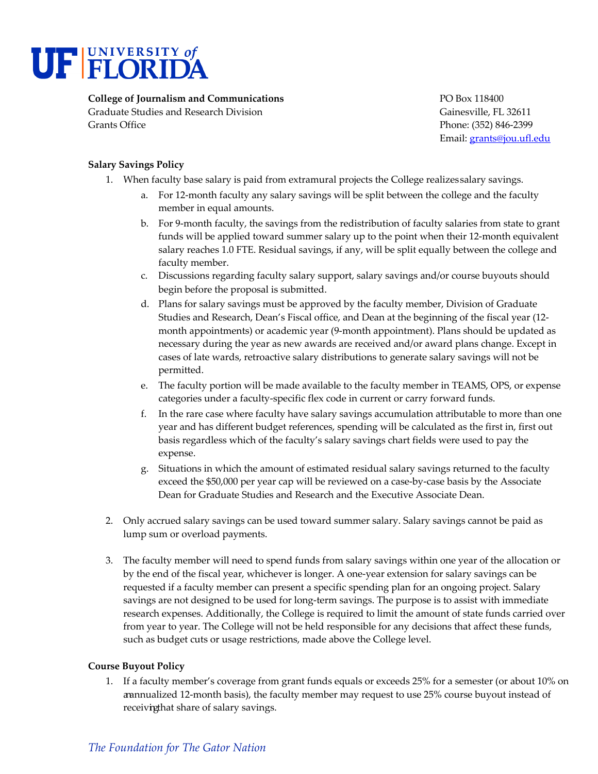

## **College of Journalism and Communications** PO Box 118400

Graduate Studies and Research Division Gainesville, FL 32611 Grants Office **Phone: (352) 846-2399** 

Email: grants@jou.ufl.edu

## **Salary Savings Policy**

- 1. When faculty base salary is paid from extramural projects the College realizes salary savings.
	- a. For 12-month faculty any salary savings will be split between the college and the faculty member in equal amounts.
	- b. For 9-month faculty, the savings from the redistribution of faculty salaries from state to grant funds will be applied toward summer salary up to the point when their 12-month equivalent salary reaches 1.0 FTE. Residual savings, if any, will be split equally between the college and faculty member.
	- c. Discussions regarding faculty salary support, salary savings and/or course buyouts should begin before the proposal is submitted.
	- d. Plans for salary savings must be approved by the faculty member, Division of Graduate Studies and Research, Dean's Fiscal office, and Dean at the beginning of the fiscal year (12 month appointments) or academic year (9-month appointment). Plans should be updated as necessary during the year as new awards are received and/or award plans change. Except in cases of late wards, retroactive salary distributions to generate salary savings will not be permitted.
	- e. The faculty portion will be made available to the faculty member in TEAMS, OPS, or expense categories under a faculty-specific flex code in current or carry forward funds.
	- f. In the rare case where faculty have salary savings accumulation attributable to more than one year and has different budget references, spending will be calculated as the first in, first out basis regardless which of the faculty's salary savings chart fields were used to pay the expense.
	- g. Situations in which the amount of estimated residual salary savings returned to the faculty exceed the \$50,000 per year cap will be reviewed on a case-by-case basis by the Associate Dean for Graduate Studies and Research and the Executive Associate Dean.
- 2. Only accrued salary savings can be used toward summer salary. Salary savings cannot be paid as lump sum or overload payments.
- 3. The faculty member will need to spend funds from salary savings within one year of the allocation or by the end of the fiscal year, whichever is longer. A one-year extension for salary savings can be requested if a faculty member can present a specific spending plan for an ongoing project. Salary savings are not designed to be used for long-term savings. The purpose is to assist with immediate research expenses. Additionally, the College is required to limit the amount of state funds carried over from year to year. The College will not be held responsible for any decisions that affect these funds, such as budget cuts or usage restrictions, made above the College level.

## **Course Buyout Policy**

1. If a faculty member's coverage from grant funds equals or exceeds 25% for a semester (or about 10% on annualized 12-month basis), the faculty member may request to use 25% course buyout instead of receiving that share of salary savings.

## *The Foundation for The Gator Nation*